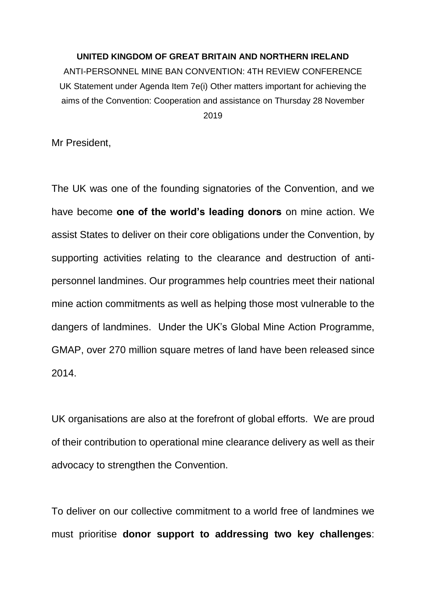## **UNITED KINGDOM OF GREAT BRITAIN AND NORTHERN IRELAND**

ANTI-PERSONNEL MINE BAN CONVENTION: 4TH REVIEW CONFERENCE UK Statement under Agenda Item 7e(i) Other matters important for achieving the aims of the Convention: Cooperation and assistance on Thursday 28 November 2019

Mr President,

The UK was one of the founding signatories of the Convention, and we have become **one of the world's leading donors** on mine action. We assist States to deliver on their core obligations under the Convention, by supporting activities relating to the clearance and destruction of antipersonnel landmines. Our programmes help countries meet their national mine action commitments as well as helping those most vulnerable to the dangers of landmines. Under the UK's Global Mine Action Programme, GMAP, over 270 million square metres of land have been released since 2014.

UK organisations are also at the forefront of global efforts. We are proud of their contribution to operational mine clearance delivery as well as their advocacy to strengthen the Convention.

To deliver on our collective commitment to a world free of landmines we must prioritise **donor support to addressing two key challenges**: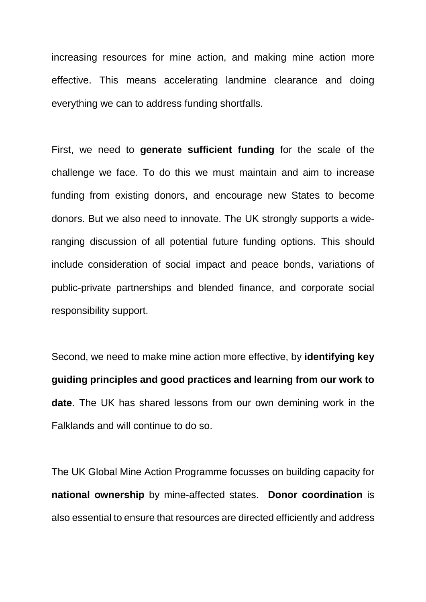increasing resources for mine action, and making mine action more effective. This means accelerating landmine clearance and doing everything we can to address funding shortfalls.

First, we need to **generate sufficient funding** for the scale of the challenge we face. To do this we must maintain and aim to increase funding from existing donors, and encourage new States to become donors. But we also need to innovate. The UK strongly supports a wideranging discussion of all potential future funding options. This should include consideration of social impact and peace bonds, variations of public-private partnerships and blended finance, and corporate social responsibility support.

Second, we need to make mine action more effective, by **identifying key guiding principles and good practices and learning from our work to date**. The UK has shared lessons from our own demining work in the Falklands and will continue to do so.

The UK Global Mine Action Programme focusses on building capacity for **national ownership** by mine-affected states. **Donor coordination** is also essential to ensure that resources are directed efficiently and address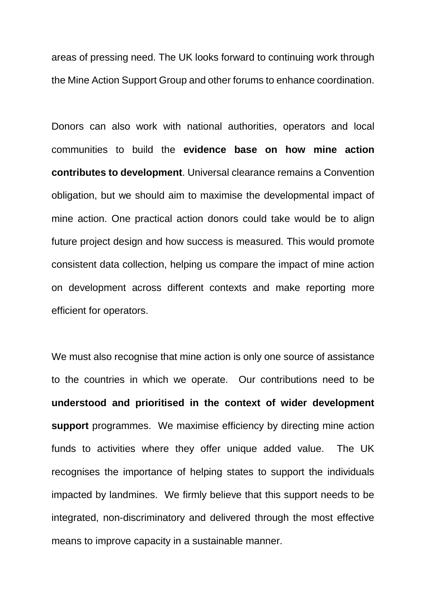areas of pressing need. The UK looks forward to continuing work through the Mine Action Support Group and other forums to enhance coordination.

Donors can also work with national authorities, operators and local communities to build the **evidence base on how mine action contributes to development**. Universal clearance remains a Convention obligation, but we should aim to maximise the developmental impact of mine action. One practical action donors could take would be to align future project design and how success is measured. This would promote consistent data collection, helping us compare the impact of mine action on development across different contexts and make reporting more efficient for operators.

We must also recognise that mine action is only one source of assistance to the countries in which we operate. Our contributions need to be **understood and prioritised in the context of wider development support** programmes. We maximise efficiency by directing mine action funds to activities where they offer unique added value. The UK recognises the importance of helping states to support the individuals impacted by landmines. We firmly believe that this support needs to be integrated, non-discriminatory and delivered through the most effective means to improve capacity in a sustainable manner.